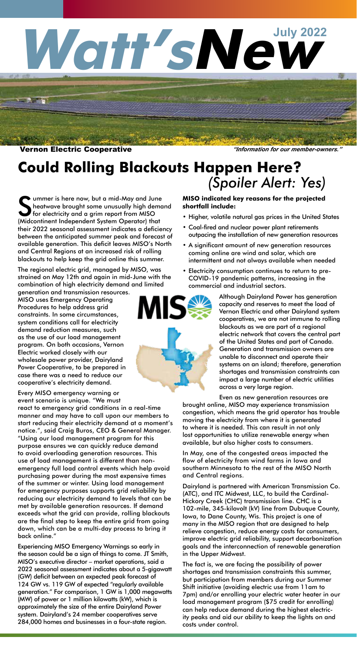# Watt'sNew

#### Vernon Electric Cooperative *"Information for our member-owners."*

**But 's** 

## **Could Rolling Blackouts Happen Here?** *(Spoiler Alert: Yes)*

Summer is here now, but a mid-May and June<br>heatwave brought some unusually high demot<br>for electricity and a grim report from MISO<br>(Midcontinent Independent System Operator) that ummer is here now, but a mid-May and June heatwave brought some unusually high demand for electricity and a grim report from MISO their 2022 seasonal assessment indicates a deficiency between the anticipated summer peak and forecast of available generation. This deficit leaves MISO's North and Central Regions at an increased risk of rolling blackouts to help keep the grid online this summer.

The regional electric grid, managed by MISO, was strained on May 12th and again in mid-June with the combination of high electricity demand and limited

generation and transmission resources. MISO uses Emergency Operating Procedures to help address grid constraints. In some circumstances, system conditions call for electricity demand reduction measures, such as the use of our load management program. On both occasions, Vernon Electric worked closely with our wholesale power provider, Dairyland Power Cooperative, to be prepared in case there was a need to reduce our cooperative's electricity demand.

Every MISO emergency warning or event scenario is unique. "We must

react to emergency grid conditions in a real-time manner and may have to call upon our members to start reducing their electricity demand at a moment's notice.", said Craig Buros, CEO & General Manager. "Using our load management program for this purpose ensures we can quickly reduce demand to avoid overloading generation resources. This use of load management is different than nonemergency full load control events which help avoid purchasing power during the most expensive times of the summer or winter. Using load management for emergency purposes supports grid reliability by reducing our electricity demand to levels that can be met by available generation resources. If demand exceeds what the grid can provide, rolling blackouts are the final step to keep the entire grid from going down, which can be a multi-day process to bring it back online."

Experiencing MISO Emergency Warnings so early in the season could be a sign of things to come. JT Smith, MISO's executive director – market operations, said a 2022 seasonal assessment indicates about a 5-gigawatt (GW) deficit between an expected peak forecast of 124 GW vs. 119 GW of expected "regularly available generation." For comparison, 1 GW is 1,000 megawatts (MW) of power or 1 million kilowatts (kW), which is approximately the size of the entire Dairyland Power system. Dairyland's 24 member cooperatives serve 284,000 homes and businesses in a four-state region.

#### **MISO indicated key reasons for the projected shortfall include:**

- Higher, volatile natural gas prices in the United States
- Coal-fired and nuclear power plant retirements outpacing the installation of new generation resources
- A significant amount of new generation resources coming online are wind and solar, which are intermittent and not always available when needed
- Electricity consumption continues to return to pre-COVID-19 pandemic patterns, increasing in the commercial and industrial sectors.



Although Dairyland Power has generation capacity and reserves to meet the load of Vernon Electric and other Dairyland system cooperatives, we are not immune to rolling blackouts as we are part of a regional electric network that covers the central part of the United States and part of Canada. Generation and transmission owners are unable to disconnect and operate their systems on an island; therefore, generation shortages and transmission constraints can impact a large number of electric utilities across a very large region.

Even as new generation resources are brought online, MISO may experience transmission

congestion, which means the grid operator has trouble moving the electricity from where it is generated to where it is needed. This can result in not only lost opportunities to utilize renewable energy when available, but also higher costs to consumers.

In May, one of the congested areas impacted the flow of electricity from wind farms in Iowa and southern Minnesota to the rest of the MISO North and Central regions.

Dairyland is partnered with American Transmission Co. (ATC), and ITC Midwest, LLC, to build the Cardinal-Hickory Creek (CHC) transmission line. CHC is a 102-mile, 345-kilovolt (kV) line from Dubuque County, Iowa, to Dane County, Wis. This project is one of many in the MISO region that are designed to help relieve congestion, reduce energy costs for consumers, improve electric grid reliability, support decarbonization goals and the interconnection of renewable generation in the Upper Midwest.

The fact is, we are facing the possibility of power shortages and transmission constraints this summer, but participation from members during our Summer Shift initiative (avoiding electric use from 11am to 7pm) and/or enrolling your electric water heater in our load management program (\$75 credit for enrolling) can help reduce demand during the highest electricity peaks and aid our ability to keep the lights on and costs under control.